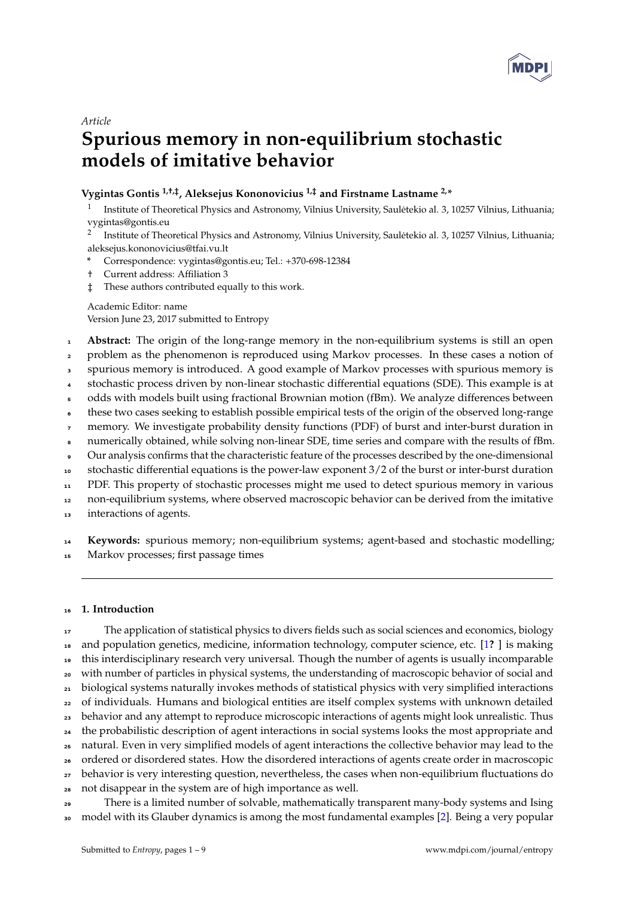

## *Article*

# **Spurious memory in non-equilibrium stochastic models of imitative behavior**

# **Vygintas Gontis 1,†,‡, Aleksejus Kononovicius 1,‡ and Firstname Lastname 2,\***

1 Institute of Theoretical Physics and Astronomy, Vilnius University, Sauletekio al. 3, 10257 Vilnius, Lithuania; ˙ vygintas@gontis.eu

2 Institute of Theoretical Physics and Astronomy, Vilnius University, Sauletekio al. 3, 10257 Vilnius, Lithuania; ˙ aleksejus.kononovicius@tfai.vu.lt

- **\*** Correspondence: vygintas@gontis.eu; Tel.: +370-698-12384
- † Current address: Affiliation 3
- ‡ These authors contributed equally to this work.

Academic Editor: name Version June 23, 2017 submitted to Entropy

- <sup>1</sup> **Abstract:** The origin of the long-range memory in the non-equilibrium systems is still an open
- <sup>2</sup> problem as the phenomenon is reproduced using Markov processes. In these cases a notion of
- <sup>3</sup> spurious memory is introduced. A good example of Markov processes with spurious memory is
- <sup>4</sup> stochastic process driven by non-linear stochastic differential equations (SDE). This example is at
- <sup>5</sup> odds with models built using fractional Brownian motion (fBm). We analyze differences between
- <sup>6</sup> these two cases seeking to establish possible empirical tests of the origin of the observed long-range
- memory. We investigate probability density functions (PDF) of burst and inter-burst duration in
- numerically obtained, while solving non-linear SDE, time series and compare with the results of fBm.
- <sup>9</sup> Our analysis confirms that the characteristic feature of the processes described by the one-dimensional
- <sup>10</sup> stochastic differential equations is the power-law exponent 3/2 of the burst or inter-burst duration

<sup>11</sup> PDF. This property of stochastic processes might me used to detect spurious memory in various

<sup>12</sup> non-equilibrium systems, where observed macroscopic behavior can be derived from the imitative

interactions of agents.

<sup>14</sup> **Keywords:** spurious memory; non-equilibrium systems; agent-based and stochastic modelling;

<sup>15</sup> Markov processes; first passage times

#### <sup>16</sup> **1. Introduction**

17 The application of statistical physics to divers fields such as social sciences and economics, biology and population genetics, medicine, information technology, computer science, etc. [\[1](#page-7-0)**?** ] is making this interdisciplinary research very universal. Though the number of agents is usually incomparable with number of particles in physical systems, the understanding of macroscopic behavior of social and biological systems naturally invokes methods of statistical physics with very simplified interactions of individuals. Humans and biological entities are itself complex systems with unknown detailed <sub>23</sub> behavior and any attempt to reproduce microscopic interactions of agents might look unrealistic. Thus <sup>24</sup> the probabilistic description of agent interactions in social systems looks the most appropriate and natural. Even in very simplified models of agent interactions the collective behavior may lead to the ordered or disordered states. How the disordered interactions of agents create order in macroscopic <sub>27</sub> behavior is very interesting question, nevertheless, the cases when non-equilibrium fluctuations do not disappear in the system are of high importance as well.

<sup>29</sup> There is a limited number of solvable, mathematically transparent many-body systems and Ising <sup>30</sup> model with its Glauber dynamics is among the most fundamental examples [\[2\]](#page-7-1). Being a very popular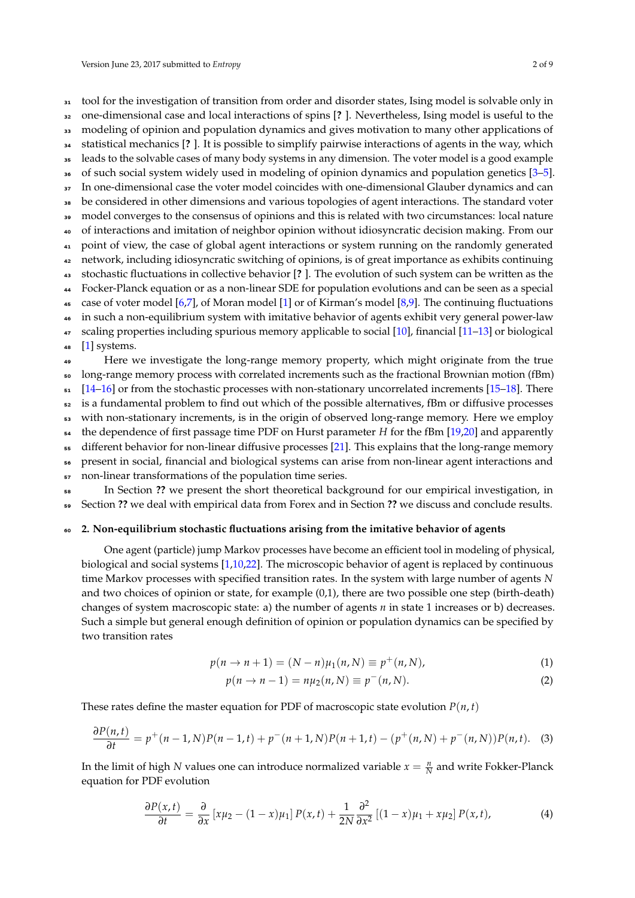31 tool for the investigation of transition from order and disorder states, Ising model is solvable only in

- <sup>32</sup> one-dimensional case and local interactions of spins [**?** ]. Nevertheless, Ising model is useful to the
- <sup>33</sup> modeling of opinion and population dynamics and gives motivation to many other applications of
- <sup>34</sup> statistical mechanics [**?** ]. It is possible to simplify pairwise interactions of agents in the way, which
- <sup>35</sup> leads to the solvable cases of many body systems in any dimension. The voter model is a good example
- <sup>36</sup> of such social system widely used in modeling of opinion dynamics and population genetics [\[3](#page-7-2)[–5\]](#page-7-3).
- <sub>37</sub> In one-dimensional case the voter model coincides with one-dimensional Glauber dynamics and can be considered in other dimensions and various topologies of agent interactions. The standard voter
- <sup>39</sup> model converges to the consensus of opinions and this is related with two circumstances: local nature
- <sup>40</sup> of interactions and imitation of neighbor opinion without idiosyncratic decision making. From our
- <sup>41</sup> point of view, the case of global agent interactions or system running on the randomly generated
- <sup>42</sup> network, including idiosyncratic switching of opinions, is of great importance as exhibits continuing
- <sup>43</sup> stochastic fluctuations in collective behavior [**?** ]. The evolution of such system can be written as the
- <sup>44</sup> Focker-Planck equation or as a non-linear SDE for population evolutions and can be seen as a special
- 45 case of voter model [\[6,](#page-7-4)[7\]](#page-7-5), of Moran model [\[1\]](#page-7-0) or of Kirman's model [\[8](#page-7-6)[,9\]](#page-7-7). The continuing fluctuations

<sup>46</sup> in such a non-equilibrium system with imitative behavior of agents exhibit very general power-law 47 scaling properties including spurious memory applicable to social [\[10\]](#page-7-8), financial [\[11](#page-7-9)[–13\]](#page-7-10) or biological

48  $[1]$  systems.

<sup>49</sup> Here we investigate the long-range memory property, which might originate from the true long-range memory process with correlated increments such as the fractional Brownian motion (fBm)  $[14–16]$  $[14–16]$  or from the stochastic processes with non-stationary uncorrelated increments [\[15](#page-7-13)[–18\]](#page-7-14). There is a fundamental problem to find out which of the possible alternatives, fBm or diffusive processes <sup>53</sup> with non-stationary increments, is in the origin of observed long-range memory. Here we employ the dependence of first passage time PDF on Hurst parameter *H* for the fBm [\[19](#page-7-15)[,20\]](#page-7-16) and apparently different behavior for non-linear diffusive processes [\[21\]](#page-7-17). This explains that the long-range memory

- <sup>56</sup> present in social, financial and biological systems can arise from non-linear agent interactions and
- 57 non-linear transformations of the population time series.

<sup>58</sup> In Section **??** we present the short theoretical background for our empirical investigation, in <sup>59</sup> Section **??** we deal with empirical data from Forex and in Section **??** we discuss and conclude results.

#### <sup>60</sup> **2. Non-equilibrium stochastic fluctuations arising from the imitative behavior of agents**

One agent (particle) jump Markov processes have become an efficient tool in modeling of physical, biological and social systems [\[1](#page-7-0)[,10,](#page-7-8)[22\]](#page-7-18). The microscopic behavior of agent is replaced by continuous time Markov processes with specified transition rates. In the system with large number of agents *N* and two choices of opinion or state, for example (0,1), there are two possible one step (birth-death) changes of system macroscopic state: a) the number of agents *n* in state 1 increases or b) decreases. Such a simple but general enough definition of opinion or population dynamics can be specified by two transition rates

$$
p(n \to n + 1) = (N - n)\mu_1(n, N) \equiv p^+(n, N),
$$
\n(1)

<span id="page-1-0"></span>
$$
p(n \to n-1) = n\mu_2(n, N) \equiv p^-(n, N).
$$
 (2)

These rates define the master equation for PDF of macroscopic state evolution  $P(n, t)$ 

$$
\frac{\partial P(n,t)}{\partial t} = p^+(n-1,N)P(n-1,t) + p^-(n+1,N)P(n+1,t) - (p^+(n,N) + p^-(n,N))P(n,t). \tag{3}
$$

In the limit of high *N* values one can introduce normalized variable  $x = \frac{n}{N}$  and write Fokker-Planck equation for PDF evolution

$$
\frac{\partial P(x,t)}{\partial t} = \frac{\partial}{\partial x} \left[ x\mu_2 - (1-x)\mu_1 \right] P(x,t) + \frac{1}{2N} \frac{\partial^2}{\partial x^2} \left[ (1-x)\mu_1 + x\mu_2 \right] P(x,t), \tag{4}
$$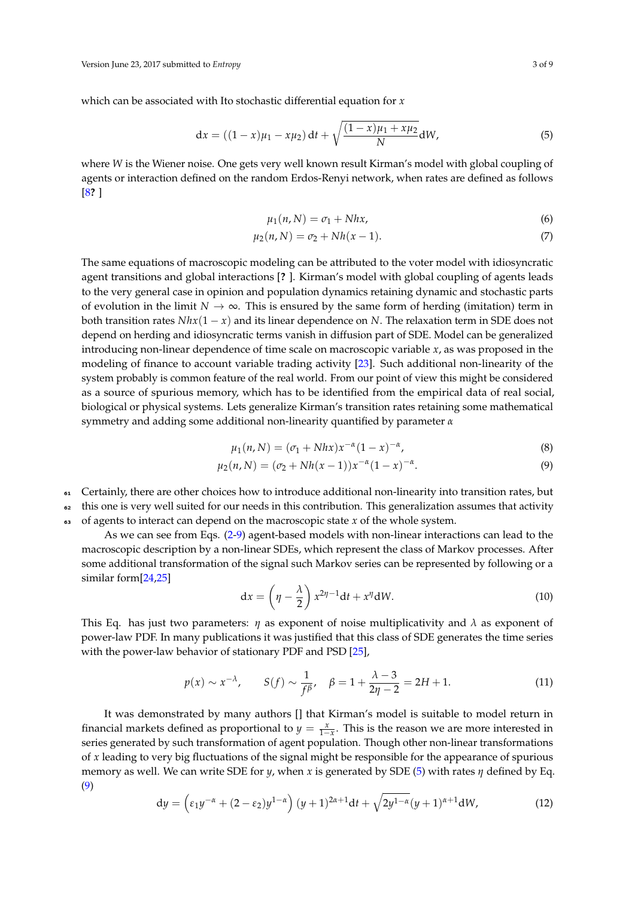which can be associated with Ito stochastic differential equation for *x*

<span id="page-2-1"></span>
$$
dx = ((1 - x)\mu_1 - x\mu_2) dt + \sqrt{\frac{(1 - x)\mu_1 + x\mu_2}{N}} dW,
$$
\n(5)

where *W* is the Wiener noise. One gets very well known result Kirman's model with global coupling of agents or interaction defined on the random Erdos-Renyi network, when rates are defined as follows [\[8](#page-7-6)**?** ]

$$
\mu_1(n, N) = \sigma_1 + Nhx,\tag{6}
$$

$$
\mu_2(n, N) = \sigma_2 + Nh(x - 1). \tag{7}
$$

The same equations of macroscopic modeling can be attributed to the voter model with idiosyncratic agent transitions and global interactions [**?** ]. Kirman's model with global coupling of agents leads to the very general case in opinion and population dynamics retaining dynamic and stochastic parts of evolution in the limit  $N \to \infty$ . This is ensured by the same form of herding (imitation) term in both transition rates *Nhx*(1 − *x*) and its linear dependence on *N*. The relaxation term in SDE does not depend on herding and idiosyncratic terms vanish in diffusion part of SDE. Model can be generalized introducing non-linear dependence of time scale on macroscopic variable *x*, as was proposed in the modeling of finance to account variable trading activity [\[23\]](#page-8-0). Such additional non-linearity of the system probably is common feature of the real world. From our point of view this might be considered as a source of spurious memory, which has to be identified from the empirical data of real social, biological or physical systems. Lets generalize Kirman's transition rates retaining some mathematical symmetry and adding some additional non-linearity quantified by parameter *α*

<span id="page-2-0"></span>
$$
\mu_1(n, N) = (\sigma_1 + Nhx)x^{-\alpha}(1 - x)^{-\alpha},
$$
\n(8)

$$
\mu_2(n, N) = (\sigma_2 + Nh(x-1))x^{-\alpha}(1-x)^{-\alpha}.
$$
\n(9)

<sup>61</sup> Certainly, there are other choices how to introduce additional non-linearity into transition rates, but

<sup>62</sup> this one is very well suited for our needs in this contribution. This generalization assumes that activity

<sup>63</sup> of agents to interact can depend on the macroscopic state *x* of the whole system.

As we can see from Eqs. [\(2-](#page-1-0)[9\)](#page-2-0) agent-based models with non-linear interactions can lead to the macroscopic description by a non-linear SDEs, which represent the class of Markov processes. After some additional transformation of the signal such Markov series can be represented by following or a similar form[\[24](#page-8-1)[,25\]](#page-8-2)

<span id="page-2-3"></span>
$$
dx = \left(\eta - \frac{\lambda}{2}\right) x^{2\eta - 1} dt + x^{\eta} dW.
$$
 (10)

This Eq. has just two parameters: *η* as exponent of noise multiplicativity and *λ* as exponent of power-law PDF. In many publications it was justified that this class of SDE generates the time series with the power-law behavior of stationary PDF and PSD [\[25\]](#page-8-2),

<span id="page-2-4"></span>
$$
p(x) \sim x^{-\lambda}
$$
,  $S(f) \sim \frac{1}{f^{\beta}}$ ,  $\beta = 1 + \frac{\lambda - 3}{2\eta - 2} = 2H + 1$ . (11)

It was demonstrated by many authors [] that Kirman's model is suitable to model return in financial markets defined as proportional to  $y = \frac{x}{1-x}$ . This is the reason we are more interested in series generated by such transformation of agent population. Though other non-linear transformations of *x* leading to very big fluctuations of the signal might be responsible for the appearance of spurious memory as well. We can write SDE for *y*, when *x* is generated by SDE [\(5\)](#page-2-1) with rates *η* defined by Eq. [\(9\)](#page-2-0)

<span id="page-2-2"></span>
$$
dy = \left(\varepsilon_1 y^{-\alpha} + (2 - \varepsilon_2) y^{1 - \alpha}\right) (y + 1)^{2\alpha + 1} dt + \sqrt{2y^{1 - \alpha}} (y + 1)^{\alpha + 1} dW,\tag{12}
$$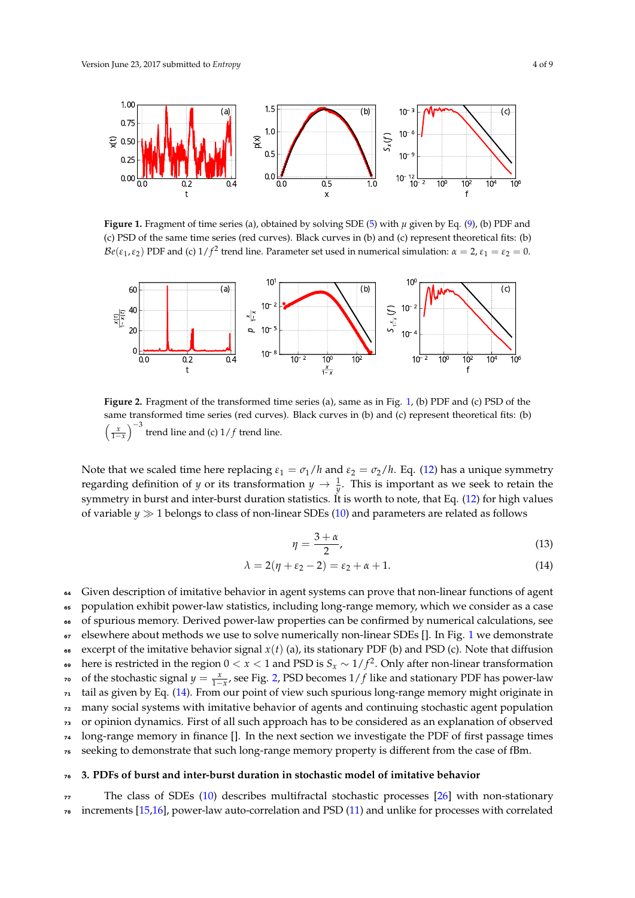<span id="page-3-0"></span>

**Figure 1.** Fragment of time series (a), obtained by solving SDE [\(5\)](#page-2-1) with  $\mu$  given by Eq. [\(9\)](#page-2-0), (b) PDF and (c) PSD of the same time series (red curves). Black curves in (b) and (c) represent theoretical fits: (b)  $\mathcal{B}e(\epsilon_1,\epsilon_2)$  PDF and (c)  $1/f^2$  trend line. Parameter set used in numerical simulation:  $\alpha=2$ ,  $\epsilon_1=\epsilon_2=0$ .

<span id="page-3-1"></span>

**Figure 2.** Fragment of the transformed time series (a), same as in Fig. [1,](#page-3-0) (b) PDF and (c) PSD of the same transformed time series (red curves). Black curves in (b) and (c) represent theoretical fits: (b)  $\sqrt{ }$ *x* 1−*x*  $\big)^{-3}$ trend line and (c)  $1/f$  trend line.

Note that we scaled time here replacing  $\varepsilon_1 = \frac{\sigma_1}{h}$  and  $\varepsilon_2 = \frac{\sigma_2}{h}$ . Eq. [\(12\)](#page-2-2) has a unique symmetry regarding definition of *y* or its transformation  $y \to \frac{1}{y}$ . This is important as we seek to retain the symmetry in burst and inter-burst duration statistics. It is worth to note, that Eq. [\(12\)](#page-2-2) for high values of variable  $y \gg 1$  belongs to class of non-linear SDEs [\(10\)](#page-2-3) and parameters are related as follows

<span id="page-3-2"></span>
$$
\eta = \frac{3+\alpha}{2},\tag{13}
$$

$$
\lambda = 2(\eta + \varepsilon_2 - 2) = \varepsilon_2 + \alpha + 1. \tag{14}
$$

<sup>64</sup> Given description of imitative behavior in agent systems can prove that non-linear functions of agent

<sup>65</sup> population exhibit power-law statistics, including long-range memory, which we consider as a case

<sup>66</sup> of spurious memory. Derived power-law properties can be confirmed by numerical calculations, see

67 elsewhere about methods we use to solve numerically non-linear SDEs []. In Fig. [1](#page-3-0) we demonstrate

68 excerpt of the imitative behavior signal  $x(t)$  (a), its stationary PDF (b) and PSD (c). Note that diffusion

here is restricted in the region 0 < *x* < 1 and PSD is *S<sup>x</sup>* ∼ 1/ *f* 2 <sup>69</sup> . Only after non-linear transformation *r* of the stochastic signal  $y = \frac{x}{1-x}$ , see Fig. [2,](#page-3-1) PSD becomes 1/ *f* like and stationary PDF has power-law

<sup>71</sup> tail as given by Eq. [\(14\)](#page-3-2). From our point of view such spurious long-range memory might originate in

<sup>72</sup> many social systems with imitative behavior of agents and continuing stochastic agent population

<sup>73</sup> or opinion dynamics. First of all such approach has to be considered as an explanation of observed

<sup>74</sup> long-range memory in finance []. In the next section we investigate the PDF of first passage times

<sup>75</sup> seeking to demonstrate that such long-range memory property is different from the case of fBm.

## <sup>76</sup> **3. PDFs of burst and inter-burst duration in stochastic model of imitative behavior**

<sup>77</sup> The class of SDEs [\(10\)](#page-2-3) describes multifractal stochastic processes [\[26\]](#page-8-3) with non-stationary  $78$  increments [\[15](#page-7-13)[,16\]](#page-7-12), power-law auto-correlation and PSD [\(11\)](#page-2-4) and unlike for processes with correlated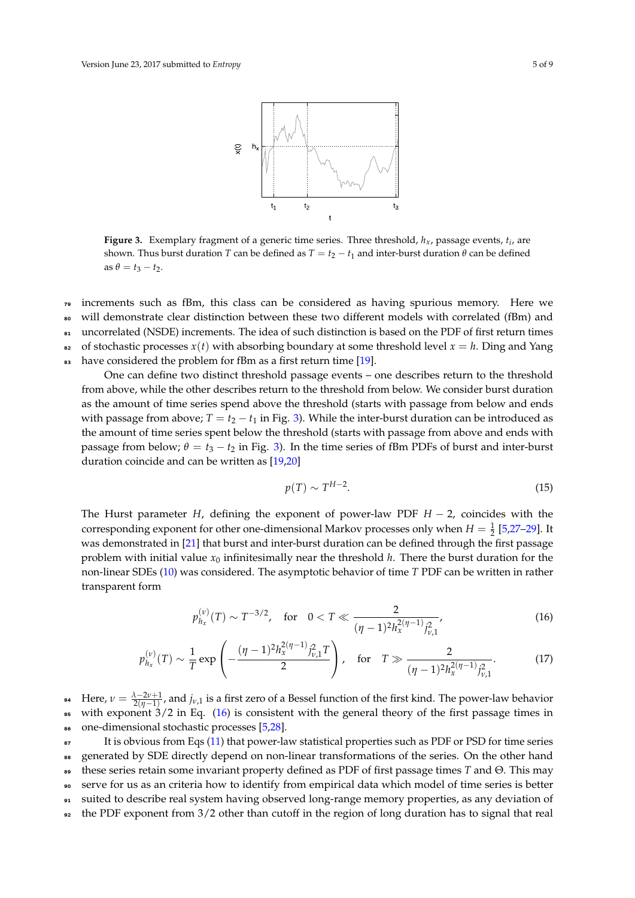<span id="page-4-0"></span>

**Figure 3.** Exemplary fragment of a generic time series. Three threshold, *hx*, passage events, *t<sup>i</sup>* , are shown. Thus burst duration *T* can be defined as  $T = t_2 - t_1$  and inter-burst duration  $\theta$  can be defined  $\text{as } \theta = t_3 - t_2.$ 

<sup>79</sup> increments such as fBm, this class can be considered as having spurious memory. Here we <sup>80</sup> will demonstrate clear distinction between these two different models with correlated (fBm) and 81 uncorrelated (NSDE) increments. The idea of such distinction is based on the PDF of first return times 82 of stochastic processes  $x(t)$  with absorbing boundary at some threshold level  $x = h$ . Ding and Yang

83 have considered the problem for fBm as a first return time [\[19\]](#page-7-15).

One can define two distinct threshold passage events – one describes return to the threshold from above, while the other describes return to the threshold from below. We consider burst duration as the amount of time series spend above the threshold (starts with passage from below and ends with passage from above;  $T = t_2 - t_1$  in Fig. [3\)](#page-4-0). While the inter-burst duration can be introduced as the amount of time series spent below the threshold (starts with passage from above and ends with passage from below;  $\theta = t_3 - t_2$  in Fig. [3\)](#page-4-0). In the time series of fBm PDFs of burst and inter-burst duration coincide and can be written as [\[19,](#page-7-15)[20\]](#page-7-16)

<span id="page-4-2"></span><span id="page-4-1"></span>
$$
p(T) \sim T^{H-2}.\tag{15}
$$

The Hurst parameter *H*, defining the exponent of power-law PDF *H* − 2, coincides with the corresponding exponent for other one-dimensional Markov processes only when  $H = \frac{1}{2}$  [\[5](#page-7-3)[,27](#page-8-4)[–29\]](#page-8-5). It was demonstrated in [\[21\]](#page-7-17) that burst and inter-burst duration can be defined through the first passage problem with initial value  $x_0$  infinitesimally near the threshold  $h$ . There the burst duration for the non-linear SDEs [\(10\)](#page-2-3) was considered. The asymptotic behavior of time *T* PDF can be written in rather transparent form

$$
p_{h_x}^{(\nu)}(T) \sim T^{-3/2}, \quad \text{for} \quad 0 < T \ll \frac{2}{(\eta - 1)^2 h_x^{2(\eta - 1)} j_{\nu,1}^2},\tag{16}
$$

$$
p_{h_x}^{(\nu)}(T) \sim \frac{1}{T} \exp\left(-\frac{(\eta - 1)^2 h_x^{2(\eta - 1)} j_{\nu,1}^2 T}{2}\right), \quad \text{for} \quad T \gg \frac{2}{(\eta - 1)^2 h_x^{2(\eta - 1)} j_{\nu,1}^2}.\tag{17}
$$

<sup>84</sup> Here,  $\nu = \frac{\lambda - 2\nu + 1}{2(\eta - 1)}$ , and  $j_{\nu,1}$  is a first zero of a Bessel function of the first kind. The power-law behavior  $\frac{1}{16}$  with exponent  $\frac{3}{2}$  in Eq. [\(16\)](#page-4-1) is consistent with the general theory of the first passage times in <sup>86</sup> one-dimensional stochastic processes [\[5](#page-7-3)[,28\]](#page-8-6).

<sup>87</sup> It is obvious from Eqs [\(11\)](#page-2-4) that power-law statistical properties such as PDF or PSD for time series 88 generated by SDE directly depend on non-linear transformations of the series. On the other hand <sup>89</sup> these series retain some invariant property defined as PDF of first passage times *T* and Θ. This may <sup>90</sup> serve for us as an criteria how to identify from empirical data which model of time series is better <sup>91</sup> suited to describe real system having observed long-range memory properties, as any deviation of  $\epsilon$  the PDF exponent from 3/2 other than cutoff in the region of long duration has to signal that real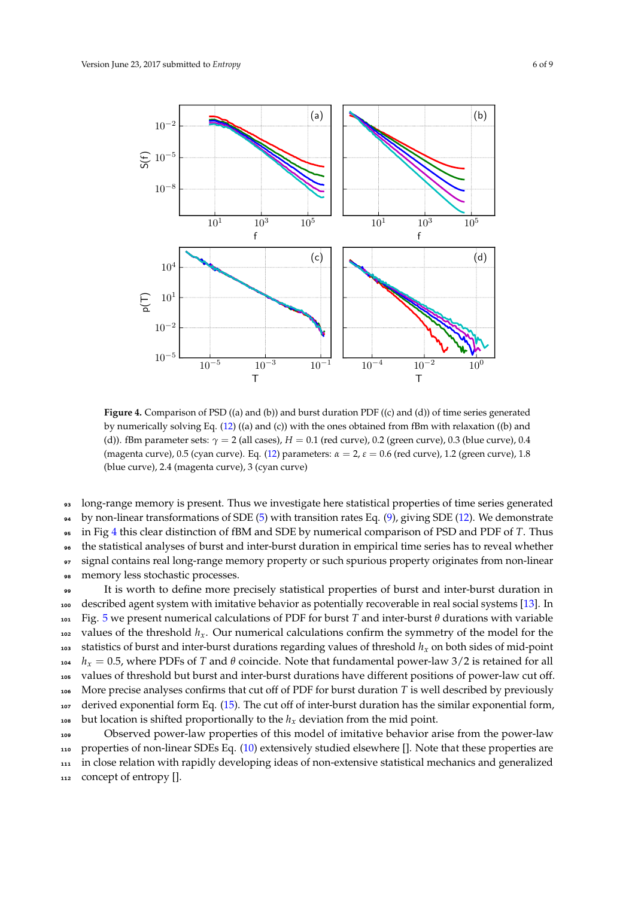<span id="page-5-0"></span>

**Figure 4.** Comparison of PSD ((a) and (b)) and burst duration PDF ((c) and (d)) of time series generated by numerically solving Eq. [\(12\)](#page-2-2) ((a) and (c)) with the ones obtained from fBm with relaxation ((b) and (d)). fBm parameter sets: *γ* = 2 (all cases), *H* = 0.1 (red curve), 0.2 (green curve), 0.3 (blue curve), 0.4 (magenta curve), 0.5 (cyan curve). Eq. [\(12\)](#page-2-2) parameters: *α* = 2, *ε* = 0.6 (red curve), 1.2 (green curve), 1.8 (blue curve), 2.4 (magenta curve), 3 (cyan curve)

long-range memory is present. Thus we investigate here statistical properties of time series generated

by non-linear transformations of SDE [\(5\)](#page-2-1) with transition rates Eq. [\(9\)](#page-2-0), giving SDE [\(12\)](#page-2-2). We demonstrate

in Fig [4](#page-5-0) this clear distinction of fBM and SDE by numerical comparison of PSD and PDF of *T*. Thus

the statistical analyses of burst and inter-burst duration in empirical time series has to reveal whether

signal contains real long-range memory property or such spurious property originates from non-linear

memory less stochastic processes.

 It is worth to define more precisely statistical properties of burst and inter-burst duration in described agent system with imitative behavior as potentially recoverable in real social systems [\[13\]](#page-7-10). In Fig. [5](#page-6-0) we present numerical calculations of PDF for burst *T* and inter-burst *θ* durations with variable values of the threshold *hx*. Our numerical calculations confirm the symmetry of the model for the statistics of burst and inter-burst durations regarding values of threshold *h<sup>x</sup>* on both sides of mid-point *h<sup>x</sup>* = 0.5, where PDFs of *T* and *θ* coincide. Note that fundamental power-law 3/2 is retained for all values of threshold but burst and inter-burst durations have different positions of power-law cut off. More precise analyses confirms that cut off of PDF for burst duration *T* is well described by previously derived exponential form Eq. [\(15\)](#page-4-2). The cut off of inter-burst duration has the similar exponential form, <sup>108</sup> but location is shifted proportionally to the  $h<sub>x</sub>$  deviation from the mid point.

 Observed power-law properties of this model of imitative behavior arise from the power-law properties of non-linear SDEs Eq. [\(10\)](#page-2-3) extensively studied elsewhere []. Note that these properties are in close relation with rapidly developing ideas of non-extensive statistical mechanics and generalized concept of entropy [].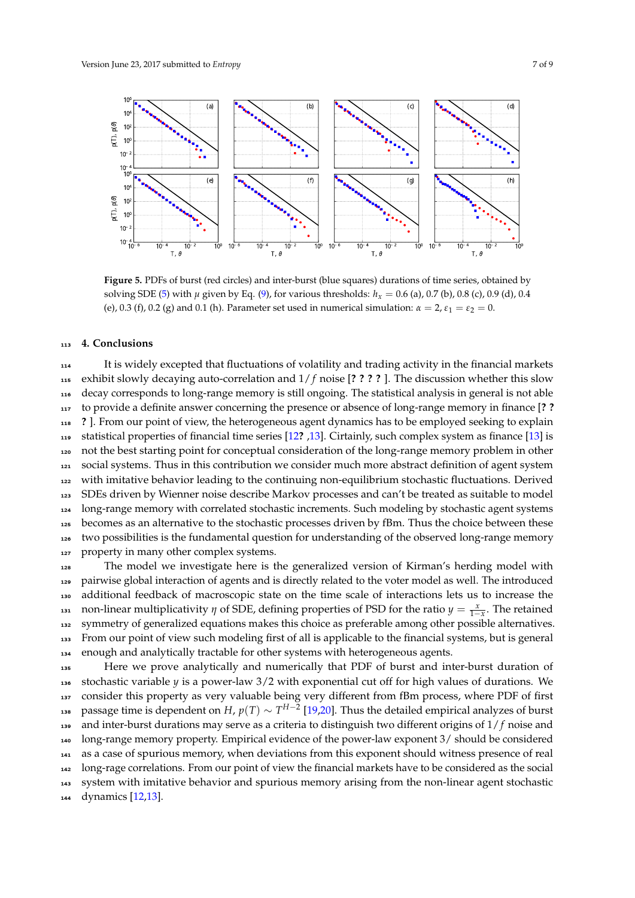<span id="page-6-0"></span>

**Figure 5.** PDFs of burst (red circles) and inter-burst (blue squares) durations of time series, obtained by solving SDE [\(5\)](#page-2-1) with  $\mu$  given by Eq. [\(9\)](#page-2-0), for various thresholds:  $h_x = 0.6$  (a), 0.7 (b), 0.8 (c), 0.9 (d), 0.4 (e), 0.3 (f), 0.2 (g) and 0.1 (h). Parameter set used in numerical simulation:  $\alpha = 2$ ,  $\varepsilon_1 = \varepsilon_2 = 0$ .

#### **4. Conclusions**

 It is widely excepted that fluctuations of volatility and trading activity in the financial markets exhibit slowly decaying auto-correlation and 1/ *f* noise [**? ? ? ?** ]. The discussion whether this slow decay corresponds to long-range memory is still ongoing. The statistical analysis in general is not able to provide a definite answer concerning the presence or absence of long-range memory in finance [**? ? ?** ]. From our point of view, the heterogeneous agent dynamics has to be employed seeking to explain statistical properties of financial time series [\[12](#page-7-19)**?** [,13\]](#page-7-10). Cirtainly, such complex system as finance [\[13\]](#page-7-10) is not the best starting point for conceptual consideration of the long-range memory problem in other social systems. Thus in this contribution we consider much more abstract definition of agent system with imitative behavior leading to the continuing non-equilibrium stochastic fluctuations. Derived SDEs driven by Wienner noise describe Markov processes and can't be treated as suitable to model long-range memory with correlated stochastic increments. Such modeling by stochastic agent systems becomes as an alternative to the stochastic processes driven by fBm. Thus the choice between these two possibilities is the fundamental question for understanding of the observed long-range memory 127 property in many other complex systems.

 The model we investigate here is the generalized version of Kirman's herding model with pairwise global interaction of agents and is directly related to the voter model as well. The introduced additional feedback of macroscopic state on the time scale of interactions lets us to increase the non-linear multiplicativity *η* of SDE, defining properties of PSD for the ratio  $y = \frac{x}{1-x}$ . The retained symmetry of generalized equations makes this choice as preferable among other possible alternatives. From our point of view such modeling first of all is applicable to the financial systems, but is general enough and analytically tractable for other systems with heterogeneous agents.

 Here we prove analytically and numerically that PDF of burst and inter-burst duration of stochastic variable *y* is a power-law 3/2 with exponential cut off for high values of durations. We 137 consider this property as very valuable being very different from fBm process, where PDF of first passage time is dependent on *H*, *p*(*T*) ∼ *T H*−2 [\[19](#page-7-15)[,20\]](#page-7-16). Thus the detailed empirical analyzes of burst and inter-burst durations may serve as a criteria to distinguish two different origins of 1/ *f* noise and long-range memory property. Empirical evidence of the power-law exponent 3/ should be considered as a case of spurious memory, when deviations from this exponent should witness presence of real long-rage correlations. From our point of view the financial markets have to be considered as the social system with imitative behavior and spurious memory arising from the non-linear agent stochastic dynamics [\[12,](#page-7-19)[13\]](#page-7-10).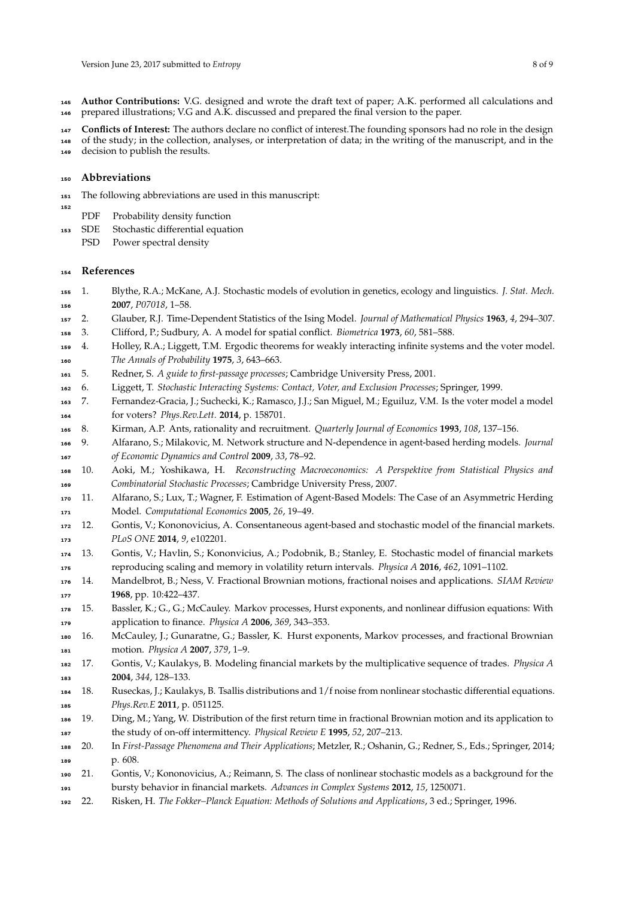**Author Contributions:** V.G. designed and wrote the draft text of paper; A.K. performed all calculations and prepared illustrations; V.G and A.K. discussed and prepared the final version to the paper.

**Conflicts of Interest:** The authors declare no conflict of interest.The founding sponsors had no role in the design

 of the study; in the collection, analyses, or interpretation of data; in the writing of the manuscript, and in the decision to publish the results.

#### **Abbreviations**

- The following abbreviations are used in this manuscript:
- PDF Probability density function
- SDE Stochastic differential equation
	- PSD Power spectral density

#### **References**

- <span id="page-7-0"></span> 1. Blythe, R.A.; McKane, A.J. Stochastic models of evolution in genetics, ecology and linguistics. *J. Stat. Mech.* **2007**, *P07018*, 1–58.
- <span id="page-7-1"></span>2. Glauber, R.J. Time-Dependent Statistics of the Ising Model. *Journal of Mathematical Physics* **1963**, *4*, 294–307.
- <span id="page-7-2"></span>3. Clifford, P.; Sudbury, A. A model for spatial conflict. *Biometrica* **1973**, *60*, 581–588.
- 4. Holley, R.A.; Liggett, T.M. Ergodic theorems for weakly interacting infinite systems and the voter model. *The Annals of Probability* **1975**, *3*, 643–663.
- <span id="page-7-3"></span>5. Redner, S. *A guide to first-passage processes*; Cambridge University Press, 2001.
- <span id="page-7-4"></span>6. Liggett, T. *Stochastic Interacting Systems: Contact, Voter, and Exclusion Processes*; Springer, 1999.
- <span id="page-7-5"></span> 7. Fernandez-Gracia, J.; Suchecki, K.; Ramasco, J.J.; San Miguel, M.; Eguiluz, V.M. Is the voter model a model for voters? *Phys.Rev.Lett.* **2014**, p. 158701.
- <span id="page-7-7"></span><span id="page-7-6"></span>8. Kirman, A.P. Ants, rationality and recruitment. *Quarterly Journal of Economics* **1993**, *108*, 137–156.
- 9. Alfarano, S.; Milakovic, M. Network structure and N-dependence in agent-based herding models. *Journal of Economic Dynamics and Control* **2009**, *33*, 78–92.
- <span id="page-7-8"></span> 10. Aoki, M.; Yoshikawa, H. *Reconstructing Macroeconomics: A Perspektive from Statistical Physics and Combinatorial Stochastic Processes*; Cambridge University Press, 2007.
- <span id="page-7-9"></span> 11. Alfarano, S.; Lux, T.; Wagner, F. Estimation of Agent-Based Models: The Case of an Asymmetric Herding Model. *Computational Economics* **2005**, *26*, 19–49.
- <span id="page-7-19"></span> 12. Gontis, V.; Kononovicius, A. Consentaneous agent-based and stochastic model of the financial markets. *PLoS ONE* **2014**, *9*, e102201.
- <span id="page-7-10"></span> 13. Gontis, V.; Havlin, S.; Kononvicius, A.; Podobnik, B.; Stanley, E. Stochastic model of financial markets reproducing scaling and memory in volatility return intervals. *Physica A* **2016**, *462*, 1091–1102.
- <span id="page-7-11"></span> 14. Mandelbrot, B.; Ness, V. Fractional Brownian motions, fractional noises and applications. *SIAM Review* **1968**, pp. 10:422–437.
- <span id="page-7-13"></span> 15. Bassler, K.; G., G.; McCauley. Markov processes, Hurst exponents, and nonlinear diffusion equations: With application to finance. *Physica A* **2006**, *369*, 343–353.
- <span id="page-7-12"></span> 16. McCauley, J.; Gunaratne, G.; Bassler, K. Hurst exponents, Markov processes, and fractional Brownian motion. *Physica A* **2007**, *379*, 1–9.
- 17. Gontis, V.; Kaulakys, B. Modeling financial markets by the multiplicative sequence of trades. *Physica A* **2004**, *344*, 128–133.
- <span id="page-7-14"></span> 18. Ruseckas, J.; Kaulakys, B. Tsallis distributions and 1/f noise from nonlinear stochastic differential equations. *Phys.Rev.E* **2011**, p. 051125.
- <span id="page-7-15"></span> 19. Ding, M.; Yang, W. Distribution of the first return time in fractional Brownian motion and its application to the study of on-off intermittency. *Physical Review E* **1995**, *52*, 207–213.
- <span id="page-7-16"></span> 20. In *First-Passage Phenomena and Their Applications*; Metzler, R.; Oshanin, G.; Redner, S., Eds.; Springer, 2014; p. 608.
- <span id="page-7-17"></span> 21. Gontis, V.; Kononovicius, A.; Reimann, S. The class of nonlinear stochastic models as a background for the bursty behavior in financial markets. *Advances in Complex Systems* **2012**, *15*, 1250071.
- <span id="page-7-18"></span>22. Risken, H. *The Fokker–Planck Equation: Methods of Solutions and Applications*, 3 ed.; Springer, 1996.